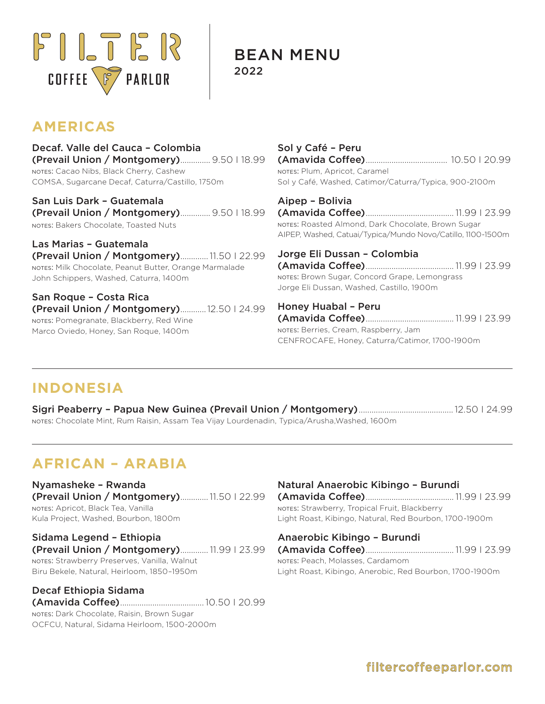

BEAN MENU 2022

# **AMERICAS**

Decaf. Valle del Cauca – Colombia (Prevail Union / Montgomery).............. 9.50 I 18.99 notes: Cacao Nibs, Black Cherry, Cashew COMSA, Sugarcane Decaf, Caturra/Castillo, 1750m

San Luis Dark – Guatemala (Prevail Union / Montgomery).............. 9.50 I 18.99 notes: Bakers Chocolate, Toasted Nuts

Las Marias – Guatemala (Prevail Union / Montgomery).............11.50 I 22.99 notes: Milk Chocolate, Peanut Butter, Orange Marmalade John Schippers, Washed, Caturra, 1400m

San Roque – Costa Rica (Prevail Union / Montgomery)............12.50 I 24.99 notes: Pomegranate, Blackberry, Red Wine Marco Oviedo, Honey, San Roque, 1400m

Sol y Café – Peru (Amavida Coffee)...................................... 10.50 I 20.99 notes: Plum, Apricot, Caramel Sol y Café, Washed, Catimor/Caturra/Typica, 900-2100m

Aipep – Bolivia (Amavida Coffee)......................................... 11.99 I 23.99 notes: Roasted Almond, Dark Chocolate, Brown Sugar AIPEP, Washed, Catuai/Typica/Mundo Novo/Catillo, 1100-1500m

Jorge Eli Dussan – Colombia (Amavida Coffee)......................................... 11.99 I 23.99 notes: Brown Sugar, Concord Grape, Lemongrass Jorge Eli Dussan, Washed, Castillo, 1900m

Honey Huabal – Peru (Amavida Coffee)......................................... 11.99 I 23.99 notes: Berries, Cream, Raspberry, Jam CENFROCAFE, Honey, Caturra/Catimor, 1700-1900m

### **INDONESIA**

Sigri Peaberry – Papua New Guinea (Prevail Union / Montgomery)............................................12.50 I 24.99 notes: Chocolate Mint, Rum Raisin, Assam Tea Vijay Lourdenadin, Typica/Arusha,Washed, 1600m

## **AFRICAN – ARABIA**

Nyamasheke – Rwanda (Prevail Union / Montgomery).............11.50 I 22.99 notes: Apricot, Black Tea, Vanilla Kula Project, Washed, Bourbon, 1800m

Sidama Legend – Ethiopia (Prevail Union / Montgomery)............. 11.99 I 23.99 notes: Strawberry Preserves, Vanilla, Walnut Biru Bekele, Natural, Heirloom, 1850–1950m

Decaf Ethiopia Sidama (Amavida Coffee).......................................10.50 I 20.99 notes: Dark Chocolate, Raisin, Brown Sugar OCFCU, Natural, Sidama Heirloom, 1500-2000m

#### Natural Anaerobic Kibingo – Burundi

(Amavida Coffee)......................................... 11.99 I 23.99 notes: Strawberry, Tropical Fruit, Blackberry Light Roast, Kibingo, Natural, Red Bourbon, 1700-1900m

#### Anaerobic Kibingo – Burundi

(Amavida Coffee)......................................... 11.99 I 23.99 notes: Peach, Molasses, Cardamom Light Roast, Kibingo, Anerobic, Red Bourbon, 1700-1900m